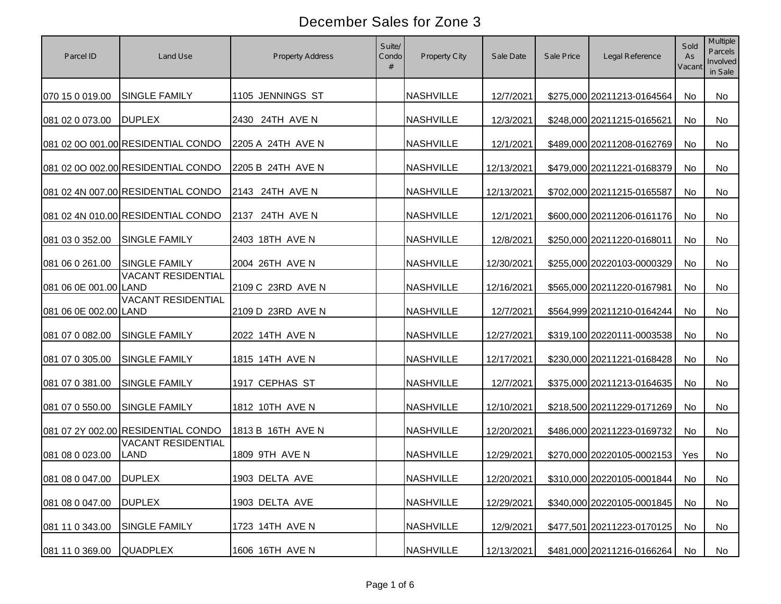| Parcel ID              | Land Use                                 | Property Address  | Suite/<br>Condo<br># | Property City    | Sale Date  | Sale Price | Legal Reference            | Sold<br>As<br>Vacant | <b>Multiple</b><br>Parcels<br>Involved<br>in Sale |
|------------------------|------------------------------------------|-------------------|----------------------|------------------|------------|------------|----------------------------|----------------------|---------------------------------------------------|
| 070 15 0 019.00        | <b>SINGLE FAMILY</b>                     | 1105 JENNINGS ST  |                      | <b>NASHVILLE</b> | 12/7/2021  |            | \$275,000 20211213-0164564 | <b>No</b>            | No                                                |
| 081 02 0 073.00        | <b>DUPLEX</b>                            | 2430 24TH AVE N   |                      | <b>NASHVILLE</b> | 12/3/2021  |            | \$248,000 20211215-0165621 | <b>No</b>            | <b>No</b>                                         |
|                        | 081 02 0O 001.00 RESIDENTIAL CONDO       | 2205 A 24TH AVE N |                      | <b>NASHVILLE</b> | 12/1/2021  |            | \$489,000 20211208-0162769 | No                   | No                                                |
|                        | 081 02 0O 002.00 RESIDENTIAL CONDO       | 2205 B 24TH AVE N |                      | <b>NASHVILLE</b> | 12/13/2021 |            | \$479,000 20211221-0168379 | No                   | No                                                |
|                        | 081 02 4N 007.00 RESIDENTIAL CONDO       | 2143 24TH AVE N   |                      | <b>NASHVILLE</b> | 12/13/2021 |            | \$702,000 20211215-0165587 | <b>No</b>            | No                                                |
|                        | 081 02 4N 010.00 RESIDENTIAL CONDO       | 2137 24TH AVE N   |                      | <b>NASHVILLE</b> | 12/1/2021  |            | \$600,000 20211206-0161176 | No                   | No                                                |
| 081 03 0 352.00        | <b>SINGLE FAMILY</b>                     | 2403 18TH AVE N   |                      | <b>NASHVILLE</b> | 12/8/2021  |            | \$250,000 20211220-0168011 | No                   | No                                                |
| 081 06 0 261.00        | <b>SINGLE FAMILY</b>                     | 2004 26TH AVE N   |                      | <b>NASHVILLE</b> | 12/30/2021 |            | \$255,000 20220103-0000329 | <b>No</b>            | <b>No</b>                                         |
| 081 06 0E 001.00 LAND  | <b>VACANT RESIDENTIAL</b>                | 2109 C 23RD AVE N |                      | <b>NASHVILLE</b> | 12/16/2021 |            | \$565,000 20211220-0167981 | No                   | No                                                |
| 081 06 0E 002.00 LAND  | <b>VACANT RESIDENTIAL</b>                | 2109 D 23RD AVE N |                      | <b>NASHVILLE</b> | 12/7/2021  |            | \$564,999 20211210-0164244 | No                   | No                                                |
| 081 07 0 082.00        | SINGLE FAMILY                            | 2022 14TH AVE N   |                      | <b>NASHVILLE</b> | 12/27/2021 |            | \$319,100 20220111-0003538 | No                   | No                                                |
| 081 07 0 305.00        | <b>SINGLE FAMILY</b>                     | 1815 14TH AVE N   |                      | <b>NASHVILLE</b> | 12/17/2021 |            | \$230,000 20211221-0168428 | No                   | No                                                |
| 081 07 0 381.00        | <b>SINGLE FAMILY</b>                     | 1917 CEPHAS ST    |                      | <b>NASHVILLE</b> | 12/7/2021  |            | \$375,000 20211213-0164635 | <b>No</b>            | No                                                |
| 081 07 0 550.00        | <b>SINGLE FAMILY</b>                     | 1812 10TH AVE N   |                      | <b>NASHVILLE</b> | 12/10/2021 |            | \$218,500 20211229-0171269 | <b>No</b>            | <b>No</b>                                         |
|                        | 081 07 2Y 002.00 RESIDENTIAL CONDO       | 1813 B 16TH AVE N |                      | <b>NASHVILLE</b> | 12/20/2021 |            | \$486,000 20211223-0169732 | No                   | No                                                |
| 081 08 0 023.00        | <b>VACANT RESIDENTIAL</b><br><b>LAND</b> | 1809 9TH AVE N    |                      | <b>NASHVILLE</b> | 12/29/2021 |            | \$270,000 20220105-0002153 | Yes                  | No                                                |
| 081 08 0 047.00 DUPLEX |                                          | 1903 DELTA AVE    |                      | <b>NASHVILLE</b> | 12/20/2021 |            | \$310,000 20220105-0001844 | No                   | No                                                |
| 081 08 0 047.00        | <b>DUPLEX</b>                            | 1903 DELTA AVE    |                      | <b>NASHVILLE</b> | 12/29/2021 |            | \$340,000 20220105-0001845 | No                   | No                                                |
| 081 11 0 343.00        | <b>SINGLE FAMILY</b>                     | 1723 14TH AVE N   |                      | <b>NASHVILLE</b> | 12/9/2021  |            | \$477,501 20211223-0170125 | No                   | No                                                |
| 081 11 0 369.00        | <b>QUADPLEX</b>                          | 1606 16TH AVE N   |                      | <b>NASHVILLE</b> | 12/13/2021 |            | \$481,000 20211216-0166264 | No                   | No                                                |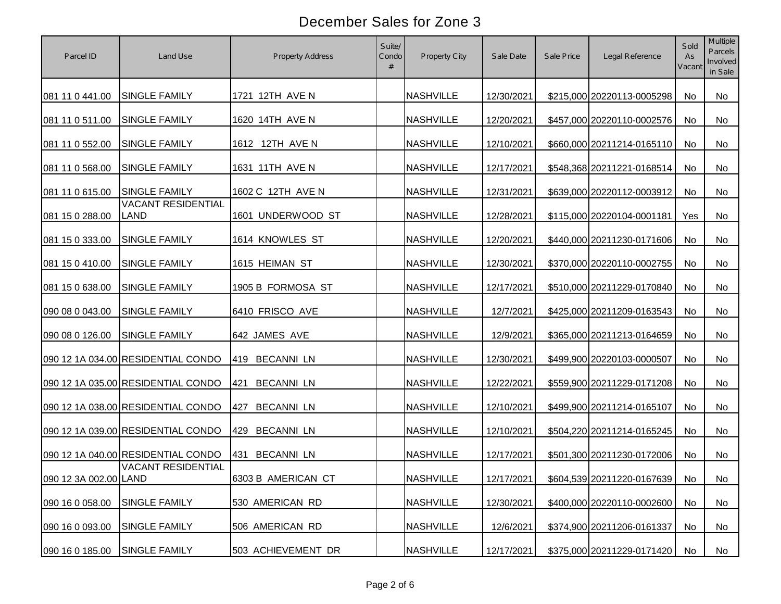| Parcel ID             | Land Use                                 | Property Address         | Suite/<br>Condo<br># | Property City    | Sale Date  | Sale Price | Legal Reference               | Sold<br>As<br>Vacant | <b>Multiple</b><br>Parcels<br>Involved<br>in Sale |
|-----------------------|------------------------------------------|--------------------------|----------------------|------------------|------------|------------|-------------------------------|----------------------|---------------------------------------------------|
| 081 11 0 441.00       | SINGLE FAMILY                            | 1721 12TH AVE N          |                      | <b>NASHVILLE</b> | 12/30/2021 |            | \$215,000 20220113-0005298    | No                   | No                                                |
| 081 11 0 511.00       | <b>SINGLE FAMILY</b>                     | 1620 14TH AVE N          |                      | <b>NASHVILLE</b> | 12/20/2021 |            | \$457,000 20220110-0002576    | No                   | No                                                |
| 081 11 0 552.00       | SINGLE FAMILY                            | 1612 12TH AVE N          |                      | <b>NASHVILLE</b> | 12/10/2021 |            | \$660,000 20211214-0165110    | No                   | No                                                |
| 081 11 0 568.00       | SINGLE FAMILY                            | 1631 11TH AVE N          |                      | <b>NASHVILLE</b> | 12/17/2021 |            | \$548,368 20211221-0168514    | No                   | No                                                |
| 081 11 0 615.00       | <b>SINGLE FAMILY</b>                     | 1602 C 12TH AVE N        |                      | <b>NASHVILLE</b> | 12/31/2021 |            | \$639,000 20220112-0003912    | No                   | No                                                |
| 081 15 0 288.00       | <b>VACANT RESIDENTIAL</b><br><b>LAND</b> | 1601 UNDERWOOD ST        |                      | <b>NASHVILLE</b> | 12/28/2021 |            | \$115,000 20220104-0001181    | Yes                  | No                                                |
| 081 15 0 333.00       | SINGLE FAMILY                            | 1614 KNOWLES ST          |                      | <b>NASHVILLE</b> | 12/20/2021 |            | \$440,000 20211230-0171606    | No                   | No                                                |
| 081 15 0 410.00       | SINGLE FAMILY                            | 1615 HEIMAN ST           |                      | <b>NASHVILLE</b> | 12/30/2021 |            | \$370,000 20220110-0002755    | No                   | No                                                |
| 081 15 0 638.00       | SINGLE FAMILY                            | 1905 B FORMOSA ST        |                      | <b>NASHVILLE</b> | 12/17/2021 |            | \$510,000 20211229-0170840    | No                   | No                                                |
| 090 08 0 043.00       | SINGLE FAMILY                            | 6410 FRISCO AVE          |                      | NASHVILLE        | 12/7/2021  |            | \$425,000 20211209-0163543    | No                   | No                                                |
| 090 08 0 126.00       | SINGLE FAMILY                            | 642 JAMES AVE            |                      | <b>NASHVILLE</b> | 12/9/2021  |            | \$365,000 20211213-0164659    | No                   | No                                                |
|                       | 090 12 1A 034.00 RESIDENTIAL CONDO       | 419 BECANNI LN           |                      | <b>NASHVILLE</b> | 12/30/2021 |            | \$499,900 20220103-0000507    | No                   | No                                                |
|                       | 090 12 1A 035.00 RESIDENTIAL CONDO       | <b>BECANNI LN</b><br>421 |                      | <b>NASHVILLE</b> | 12/22/2021 |            | \$559,900 20211229-0171208    | <b>No</b>            | No                                                |
|                       | 090 12 1A 038.00 RESIDENTIAL CONDO       | <b>BECANNI LN</b><br>427 |                      | <b>NASHVILLE</b> | 12/10/2021 |            | \$499,900 20211214-0165107    | No                   | No                                                |
|                       | 090 12 1A 039.00 RESIDENTIAL CONDO       | 429 BECANNI LN           |                      | <b>NASHVILLE</b> | 12/10/2021 |            | \$504,220 20211214-0165245    | No                   | No                                                |
|                       | 090 12 1A 040.00 RESIDENTIAL CONDO       | <b>BECANNI LN</b><br>431 |                      | <b>NASHVILLE</b> | 12/17/2021 |            | \$501,300 20211230-0172006    | No                   | No                                                |
| 090 12 3A 002.00 LAND | <b>VACANT RESIDENTIAL</b>                | 6303 B AMERICAN CT       |                      | <b>NASHVILLE</b> | 12/17/2021 |            | \$604,539 20211220-0167639 No |                      | No                                                |
| 090 16 0 058.00       | SINGLE FAMILY                            | 530 AMERICAN RD          |                      | <b>NASHVILLE</b> | 12/30/2021 |            | \$400,000 20220110-0002600    | No                   | No                                                |
| 090 16 0 093.00       | SINGLE FAMILY                            | 506 AMERICAN RD          |                      | <b>NASHVILLE</b> | 12/6/2021  |            | \$374,900 20211206-0161337    | No                   | No                                                |
| 090 16 0 185.00       | <b>SINGLE FAMILY</b>                     | 503 ACHIEVEMENT DR       |                      | <b>NASHVILLE</b> | 12/17/2021 |            | \$375,000 20211229-0171420    | No                   | No                                                |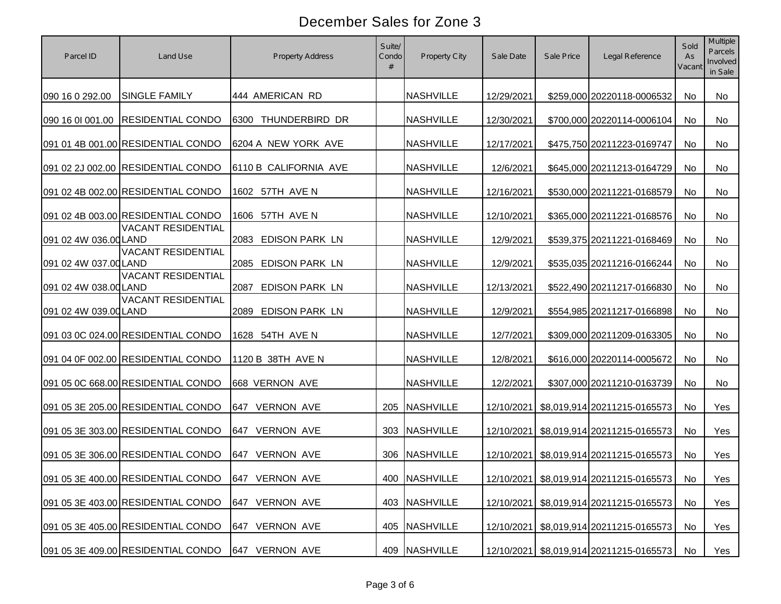| Parcel ID             | Land Use                                          | Property Address         | Suite/<br>Condo<br># | Property City    | Sale Date  | Sale Price | Legal Reference                            | Sold<br>As<br>Vacant | Multiple<br>Parcels<br>Involved<br>in Sale |
|-----------------------|---------------------------------------------------|--------------------------|----------------------|------------------|------------|------------|--------------------------------------------|----------------------|--------------------------------------------|
| 090 16 0 292.00       | SINGLE FAMILY                                     | 444 AMERICAN RD          |                      | <b>NASHVILLE</b> | 12/29/2021 |            | \$259,000 20220118-0006532                 | <b>No</b>            | No                                         |
|                       | 090 16 01 001.00 RESIDENTIAL CONDO                | 6300 THUNDERBIRD DR      |                      | <b>NASHVILLE</b> | 12/30/2021 |            | \$700,000 20220114-0006104                 | No                   | No                                         |
|                       | 091 01 4B 001.00 RESIDENTIAL CONDO                | 6204 A NEW YORK AVE      |                      | <b>NASHVILLE</b> | 12/17/2021 |            | \$475,750 20211223-0169747                 | No                   | No                                         |
|                       | 091 02 2J 002.00 RESIDENTIAL CONDO                | 6110 B CALIFORNIA AVE    |                      | <b>NASHVILLE</b> | 12/6/2021  |            | \$645,000 20211213-0164729                 | <b>No</b>            | No                                         |
|                       | 091 02 4B 002.00 RESIDENTIAL CONDO                | 1602 57TH AVE N          |                      | <b>NASHVILLE</b> | 12/16/2021 |            | \$530,000 20211221-0168579                 | No                   | No                                         |
|                       | 091 02 4B 003.00 RESIDENTIAL CONDO                | 1606 57TH AVE N          |                      | <b>NASHVILLE</b> | 12/10/2021 |            | \$365,000 20211221-0168576                 | <b>No</b>            | <b>No</b>                                  |
| 091 02 4W 036.00 LAND | <b>VACANT RESIDENTIAL</b>                         | 2083 EDISON PARK LN      |                      | <b>NASHVILLE</b> | 12/9/2021  |            | \$539,375 20211221-0168469                 | No                   | No                                         |
| 091 02 4W 037.00 LAND | <b>VACANT RESIDENTIAL</b>                         | 2085 EDISON PARK LN      |                      | <b>NASHVILLE</b> | 12/9/2021  |            | \$535,035 20211216-0166244                 | No                   | No                                         |
| 091 02 4W 038.00 LAND | <b>VACANT RESIDENTIAL</b>                         | 2087 EDISON PARK LN      |                      | <b>NASHVILLE</b> | 12/13/2021 |            | \$522,490 20211217-0166830                 | <b>No</b>            | No                                         |
| 091 02 4W 039.00 LAND | <b>VACANT RESIDENTIAL</b>                         | 2089 EDISON PARK LN      |                      | <b>NASHVILLE</b> | 12/9/2021  |            | \$554,985 20211217-0166898                 | No                   | No                                         |
|                       | 091 03 0C 024.00 RESIDENTIAL CONDO                | 1628 54TH AVE N          |                      | <b>NASHVILLE</b> | 12/7/2021  |            | \$309,000 20211209-0163305                 | No                   | No                                         |
|                       | 091 04 0F 002.00 RESIDENTIAL CONDO                | 1120 B 38TH AVE N        |                      | <b>NASHVILLE</b> | 12/8/2021  |            | \$616,000 20220114-0005672                 | <b>No</b>            | No                                         |
|                       | 091 05 0C 668.00 RESIDENTIAL CONDO                | 668 VERNON AVE           |                      | <b>NASHVILLE</b> | 12/2/2021  |            | \$307,000 20211210-0163739                 | No                   | No                                         |
|                       | 091 05 3E 205.00 RESIDENTIAL CONDO                | 647 VERNON AVE           |                      | 205 NASHVILLE    |            |            | 12/10/2021 \$8,019,914 20211215-0165573    | <b>No</b>            | Yes                                        |
|                       | 091 05 3E 303.00 RESIDENTIAL CONDO                | 647 VERNON AVE           |                      | 303 NASHVILLE    | 12/10/2021 |            | \$8,019,914 20211215-0165573               | <b>No</b>            | Yes                                        |
|                       | 091 05 3E 306.00 RESIDENTIAL CONDO                | <b>VERNON AVE</b><br>647 |                      | 306 NASHVILLE    | 12/10/2021 |            | \$8,019,914 20211215-0165573               | <b>No</b>            | Yes                                        |
|                       | 091 05 3E 400.00 RESIDENTIAL CONDO 647 VERNON AVE |                          |                      | 400 NASHVILLE    |            |            | 12/10/2021 \$8,019,914 20211215-0165573 No |                      | Yes                                        |
|                       | 091 05 3E 403.00 RESIDENTIAL CONDO                | 647 VERNON AVE           |                      | 403 NASHVILLE    |            |            | 12/10/2021 \$8,019,914 20211215-0165573    | No                   | Yes                                        |
|                       | 091 05 3E 405.00 RESIDENTIAL CONDO                | <b>VERNON AVE</b><br>647 | 405                  | <b>NASHVILLE</b> |            |            | 12/10/2021 \$8,019,914 20211215-0165573    | No                   | Yes                                        |
|                       | 091 05 3E 409.00 RESIDENTIAL CONDO                | 647 VERNON AVE           |                      | 409 NASHVILLE    |            |            | 12/10/2021 \$8,019,914 20211215-0165573    | No                   | Yes                                        |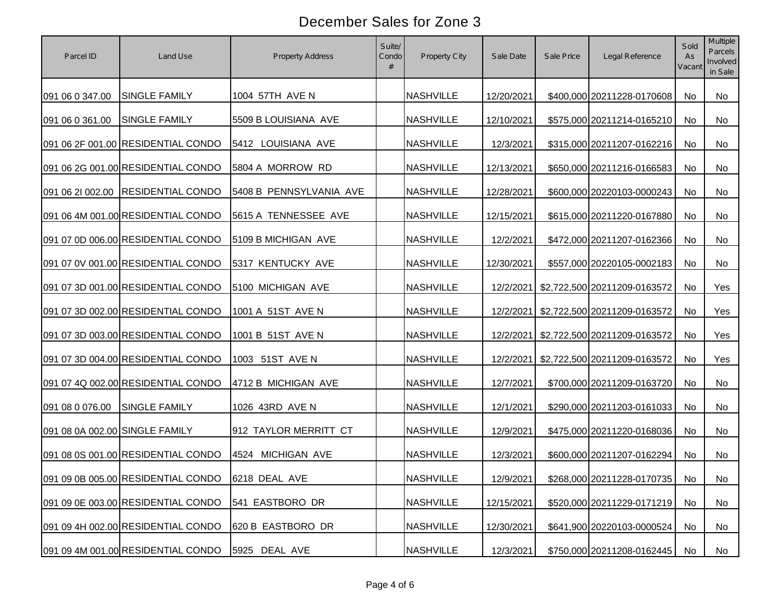| Parcel ID                      | Land Use                           | Property Address        | Suite/<br>Condo<br># | Property City    | Sale Date  | Sale Price | Legal Reference                        | Sold<br>As<br>Vacant | Multiple<br>Parcels<br>Involved<br>in Sale |
|--------------------------------|------------------------------------|-------------------------|----------------------|------------------|------------|------------|----------------------------------------|----------------------|--------------------------------------------|
| 091 06 0 347.00                | SINGLE FAMILY                      | 1004 57TH AVE N         |                      | <b>NASHVILLE</b> | 12/20/2021 |            | \$400,000 20211228-0170608             | <b>No</b>            | No                                         |
| 091 06 0 361.00                | <b>SINGLE FAMILY</b>               | 5509 B LOUISIANA AVE    |                      | <b>NASHVILLE</b> | 12/10/2021 |            | \$575,000 20211214-0165210             | <b>No</b>            | <b>No</b>                                  |
|                                | 091 06 2F 001.00 RESIDENTIAL CONDO | 5412 LOUISIANA AVE      |                      | <b>NASHVILLE</b> | 12/3/2021  |            | \$315,000 20211207-0162216             | No                   | No                                         |
|                                | 091 06 2G 001.00 RESIDENTIAL CONDO | 5804 A MORROW RD        |                      | <b>NASHVILLE</b> | 12/13/2021 |            | \$650,000 20211216-0166583             | No                   | No                                         |
|                                | 091 06 21 002.00 RESIDENTIAL CONDO | 5408 B PENNSYLVANIA AVE |                      | <b>NASHVILLE</b> | 12/28/2021 |            | \$600,000 20220103-0000243             | <b>No</b>            | No                                         |
|                                | 091 06 4M 001.00 RESIDENTIAL CONDO | 5615 A TENNESSEE AVE    |                      | <b>NASHVILLE</b> | 12/15/2021 |            | \$615,000 20211220-0167880             | No                   | No                                         |
|                                | 091 07 0D 006.00 RESIDENTIAL CONDO | 5109 B MICHIGAN AVE     |                      | <b>NASHVILLE</b> | 12/2/2021  |            | \$472,000 20211207-0162366             | No                   | No                                         |
|                                | 091 07 0V 001.00 RESIDENTIAL CONDO | 5317 KENTUCKY AVE       |                      | <b>NASHVILLE</b> | 12/30/2021 |            | \$557,000 20220105-0002183             | <b>No</b>            | No                                         |
|                                | 091 07 3D 001.00 RESIDENTIAL CONDO | 5100 MICHIGAN AVE       |                      | <b>NASHVILLE</b> |            |            | 12/2/2021 \$2,722,500 20211209-0163572 | No                   | Yes                                        |
|                                | 091 07 3D 002.00 RESIDENTIAL CONDO | 1001 A 51ST AVE N       |                      | <b>NASHVILLE</b> |            |            | 12/2/2021 \$2,722,500 20211209-0163572 | No                   | Yes                                        |
|                                | 091 07 3D 003.00 RESIDENTIAL CONDO | 1001 B 51ST AVE N       |                      | <b>NASHVILLE</b> |            |            | 12/2/2021 \$2,722,500 20211209-0163572 | No                   | Yes                                        |
|                                | 091 07 3D 004.00 RESIDENTIAL CONDO | 1003 51ST AVE N         |                      | <b>NASHVILLE</b> |            |            | 12/2/2021 \$2,722,500 20211209-0163572 | No                   | Yes                                        |
|                                | 091 07 4Q 002.00 RESIDENTIAL CONDO | 4712 B MICHIGAN AVE     |                      | <b>NASHVILLE</b> | 12/7/2021  |            | \$700,000 20211209-0163720             | No                   | No                                         |
| 091 08 0 076.00                | <b>SINGLE FAMILY</b>               | 1026 43RD AVE N         |                      | <b>NASHVILLE</b> | 12/1/2021  |            | \$290,000 20211203-0161033             | <b>No</b>            | <b>No</b>                                  |
| 091 08 0A 002.00 SINGLE FAMILY |                                    | 912 TAYLOR MERRITT CT   |                      | <b>NASHVILLE</b> | 12/9/2021  |            | \$475,000 20211220-0168036             | No                   | No                                         |
|                                | 091 08 0S 001.00 RESIDENTIAL CONDO | 4524 MICHIGAN AVE       |                      | <b>NASHVILLE</b> | 12/3/2021  |            | \$600,000 20211207-0162294             | No                   | No                                         |
|                                | 091 09 0B 005.00 RESIDENTIAL CONDO | 6218 DEAL AVE           |                      | <b>NASHVILLE</b> | 12/9/2021  |            | \$268,000 20211228-0170735 No          |                      | No                                         |
|                                | 091 09 0E 003.00 RESIDENTIAL CONDO | 541 EASTBORO DR         |                      | <b>NASHVILLE</b> | 12/15/2021 |            | \$520,000 20211229-0171219             | No                   | No                                         |
|                                | 091 09 4H 002.00 RESIDENTIAL CONDO | 620 B EASTBORO DR       |                      | <b>NASHVILLE</b> | 12/30/2021 |            | \$641,900 20220103-0000524             | No                   | No                                         |
|                                | 091 09 4M 001.00 RESIDENTIAL CONDO | 5925 DEAL AVE           |                      | <b>NASHVILLE</b> | 12/3/2021  |            | \$750,000 20211208-0162445             | No                   | No                                         |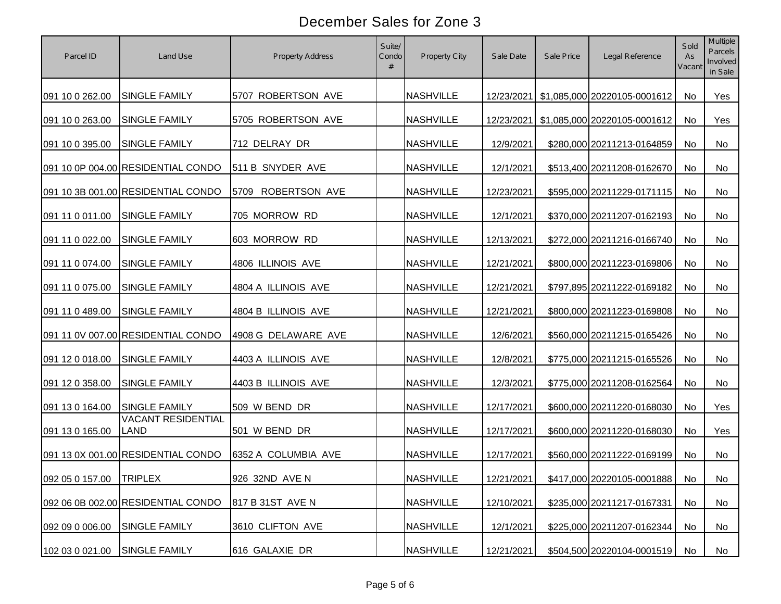| Parcel ID               | Land Use                                 | Property Address    | Suite/<br>Condo<br># | Property City    | Sale Date  | Sale Price | Legal Reference                         | Sold<br>As<br>Vacant | Multiple<br>Parcels<br>Involved<br>in Sale |
|-------------------------|------------------------------------------|---------------------|----------------------|------------------|------------|------------|-----------------------------------------|----------------------|--------------------------------------------|
| 091 10 0 262.00         | SINGLE FAMILY                            | 5707 ROBERTSON AVE  |                      | <b>NASHVILLE</b> |            |            | 12/23/2021 \$1,085,000 20220105-0001612 | No                   | Yes                                        |
| 091 10 0 263.00         | SINGLE FAMILY                            | 5705 ROBERTSON AVE  |                      | <b>NASHVILLE</b> | 12/23/2021 |            | \$1,085,000 20220105-0001612            | No                   | Yes                                        |
| 091 10 0 395.00         | SINGLE FAMILY                            | 712 DELRAY DR       |                      | <b>NASHVILLE</b> | 12/9/2021  |            | \$280,000 20211213-0164859              | No                   | No                                         |
|                         | 091 10 0P 004.00 RESIDENTIAL CONDO       | 511 B SNYDER AVE    |                      | <b>NASHVILLE</b> | 12/1/2021  |            | \$513,400 20211208-0162670              | No                   | No                                         |
|                         | 091 10 3B 001.00 RESIDENTIAL CONDO       | 5709 ROBERTSON AVE  |                      | <b>NASHVILLE</b> | 12/23/2021 |            | \$595,000 20211229-0171115              | No                   | No                                         |
| 091 11 0 011.00         | <b>SINGLE FAMILY</b>                     | 705 MORROW RD       |                      | <b>NASHVILLE</b> | 12/1/2021  |            | \$370,000 20211207-0162193              | No                   | No                                         |
| 091 11 0 022.00         | SINGLE FAMILY                            | 603 MORROW RD       |                      | <b>NASHVILLE</b> | 12/13/2021 |            | \$272,000 20211216-0166740              | No                   | No                                         |
| 091 11 0 074.00         | SINGLE FAMILY                            | 4806 ILLINOIS AVE   |                      | <b>NASHVILLE</b> | 12/21/2021 |            | \$800,000 20211223-0169806              | No                   | No                                         |
| 091 11 0 075.00         | <b>SINGLE FAMILY</b>                     | 4804 A ILLINOIS AVE |                      | <b>NASHVILLE</b> | 12/21/2021 |            | \$797,895 20211222-0169182              | No                   | No                                         |
| 091 11 0 489.00         | SINGLE FAMILY                            | 4804 B ILLINOIS AVE |                      | <b>NASHVILLE</b> | 12/21/2021 |            | \$800,000 20211223-0169808              | No                   | No                                         |
|                         | 091 11 0V 007.00 RESIDENTIAL CONDO       | 4908 G DELAWARE AVE |                      | <b>NASHVILLE</b> | 12/6/2021  |            | \$560,000 20211215-0165426              | No                   | No                                         |
| 091 12 0 018.00         | SINGLE FAMILY                            | 4403 A ILLINOIS AVE |                      | <b>NASHVILLE</b> | 12/8/2021  |            | \$775,000 20211215-0165526              | No                   | No                                         |
| 091 12 0 358.00         | SINGLE FAMILY                            | 4403 B ILLINOIS AVE |                      | <b>NASHVILLE</b> | 12/3/2021  |            | \$775,000 20211208-0162564              | No                   | No                                         |
| 091 13 0 164.00         | <b>SINGLE FAMILY</b>                     | 509 W BEND DR       |                      | <b>NASHVILLE</b> | 12/17/2021 |            | \$600,000 20211220-0168030              | No                   | Yes                                        |
| 091 13 0 165.00         | <b>VACANT RESIDENTIAL</b><br><b>LAND</b> | 501 W BEND DR       |                      | <b>NASHVILLE</b> | 12/17/2021 |            | \$600,000 20211220-0168030              | No                   | Yes                                        |
|                         | 091 13 0X 001.00 RESIDENTIAL CONDO       | 6352 A COLUMBIA AVE |                      | <b>NASHVILLE</b> | 12/17/2021 |            | \$560,000 20211222-0169199              | No                   | No                                         |
| 092 05 0 157.00 TRIPLEX |                                          | 926 32ND AVE N      |                      | <b>NASHVILLE</b> | 12/21/2021 |            | \$417,000 20220105-0001888   No         |                      | No                                         |
|                         | 092 06 0B 002.00 RESIDENTIAL CONDO       | 817 B 31ST AVE N    |                      | <b>NASHVILLE</b> | 12/10/2021 |            | \$235,000 20211217-0167331              | No                   | No                                         |
| 092 09 0 006.00         | <b>SINGLE FAMILY</b>                     | 3610 CLIFTON AVE    |                      | <b>NASHVILLE</b> | 12/1/2021  |            | \$225,000 20211207-0162344              | No                   | No                                         |
| 102 03 0 021.00         | <b>SINGLE FAMILY</b>                     | 616 GALAXIE DR      |                      | <b>NASHVILLE</b> | 12/21/2021 |            | \$504,500 20220104-0001519              | No                   | No                                         |